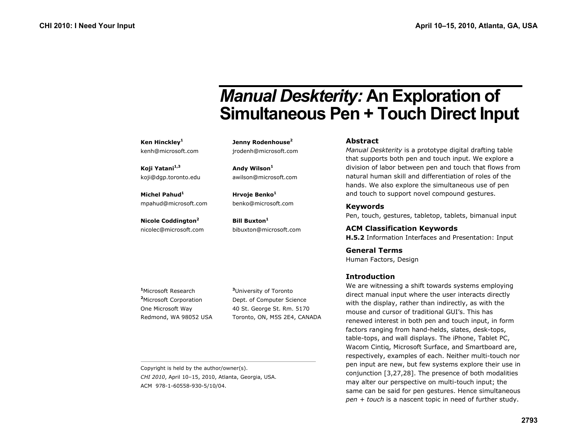# *Manual Deskterity:* **An Exploration of Simultaneous Pen + Touch Direct Input**

**Ken Hinckley<sup>1</sup>** kenh@microsoft.com

**Koji Yatani1,3** koji@dgp.toronto.edu

**Michel Pahud<sup>1</sup>** mpahud@microsoft.com

**Nicole Coddington<sup>2</sup>** nicolec@microsoft.com **Jenny Rodenhouse<sup>2</sup>** jrodenh@microsoft.com

**Andy Wilson<sup>1</sup>** awilson@microsoft.com

**Hrvoje Benko<sup>1</sup>** benko@microsoft.com

**Bill Buxton<sup>1</sup>** bibuxton@microsoft.com

#### **Abstract**

*Manual Deskterity* is a prototype digital drafting table that supports both pen and touch input. We explore a division of labor between pen and touch that flows from natural human skill and differentiation of roles of the hands. We also explore the simultaneous use of pen and touch to support novel compound gestures.

#### **Keywords**

Pen, touch, gestures, tabletop, tablets, bimanual input

**ACM Classification Keywords H.5.2** Information Interfaces and Presentation: Input

**General Terms** Human Factors, Design

## **Introduction**

We are witnessing a shift towards systems employing direct manual input where the user interacts directly with the display, rather than indirectly, as with the mouse and cursor of traditional GUI's. This has renewed interest in both pen and touch input, in form factors ranging from hand-helds, slates, desk-tops, table-tops, and wall displays. The iPhone, Tablet PC, Wacom Cintiq, Microsoft Surface, and Smartboard are, respectively, examples of each. Neither multi-touch nor pen input are new, but few systems explore their use in conjunction [3,27,28]. The presence of both modalities may alter our perspective on multi-touch input; the same can be said for pen gestures. Hence simultaneous *pen + touch* is a nascent topic in need of further study.

**<sup>1</sup>**Microsoft Research **<sup>2</sup>**Microsoft Corporation One Microsoft Way Redmond, WA 98052 USA

**<sup>3</sup>**University of Toronto Dept. of Computer Science 40 St. George St. Rm. 5170 Toronto, ON, M5S 2E4, CANADA

Copyright is held by the author/owner(s). *CHI 2010*, April 10–15, 2010, Atlanta, Georgia, USA. ACM 978-1-60558-930-5/10/04.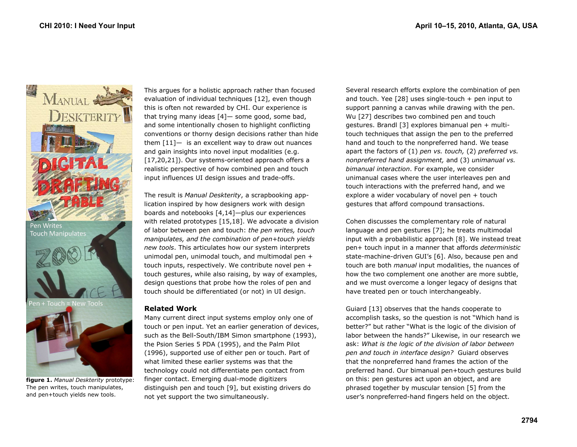



**figure 1.** *Manual Deskterity* prototype: The pen writes, touch manipulates, and pen+touch yields new tools.

This argues for a holistic approach rather than focused evaluation of individual techniques [12], even though this is often not rewarded by CHI. Our experience is that trying many ideas [4]— some good, some bad, and some intentionally chosen to highlight conflicting conventions or thorny design decisions rather than hide them  $[11]$  is an excellent way to draw out nuances and gain insights into novel input modalities (e.g. [17,20,21]). Our systems-oriented approach offers a realistic perspective of how combined pen and touch input influences UI design issues and trade-offs.

The result is *Manual Deskterity*, a scrapbooking application inspired by how designers work with design boards and notebooks [4,14]—plus our experiences with related prototypes [15,18]. We advocate a division of labor between pen and touch: *the pen writes, touch manipulates, and the combination of pen+touch yields new tools*. This articulates how our system interprets unimodal pen, unimodal touch, and multimodal pen + touch inputs, respectively. We contribute novel pen + touch gestures, while also raising, by way of examples, design questions that probe how the roles of pen and touch should be differentiated (or not) in UI design.

#### **Related Work**

Many current direct input systems employ only one of touch or pen input. Yet an earlier generation of devices, such as the Bell-South/IBM Simon smartphone (1993), the Psion Series 5 PDA (1995), and the Palm Pilot (1996), supported use of either pen or touch. Part of what limited these earlier systems was that the technology could not differentiate pen contact from finger contact. Emerging dual-mode digitizers distinguish pen and touch [9], but existing drivers do not yet support the two simultaneously.

Several research efforts explore the combination of pen and touch. Yee  $[28]$  uses single-touch + pen input to support panning a canvas while drawing with the pen. Wu [27] describes two combined pen and touch gestures. Brandl [3] explores bimanual pen + multitouch techniques that assign the pen to the preferred hand and touch to the nonpreferred hand. We tease apart the factors of (1) *pen vs. touch,* (2) *preferred vs. nonpreferred hand assignment,* and (3) *unimanual vs. bimanual interaction*. For example, we consider unimanual cases where the user interleaves pen and touch interactions with the preferred hand, and we explore a wider vocabulary of novel pen + touch gestures that afford compound transactions.

Cohen discusses the complementary role of natural language and pen gestures [7]; he treats multimodal input with a probabilistic approach [8]. We instead treat pen+ touch input in a manner that affords *deterministic* state-machine-driven GUI's [6]. Also, because pen and touch are both *manual* input modalities, the nuances of how the two complement one another are more subtle, and we must overcome a longer legacy of designs that have treated pen or touch interchangeably.

Guiard [13] observes that the hands cooperate to accomplish tasks, so the question is not "Which hand is better?" but rather "What is the logic of the division of labor between the hands?" Likewise, in our research we ask: *What is the logic of the division of labor between pen and touch in interface design?* Guiard observes that the nonpreferred hand frames the action of the preferred hand. Our bimanual pen+touch gestures build on this: pen gestures act upon an object, and are phrased together by muscular tension [5] from the user's nonpreferred-hand fingers held on the object.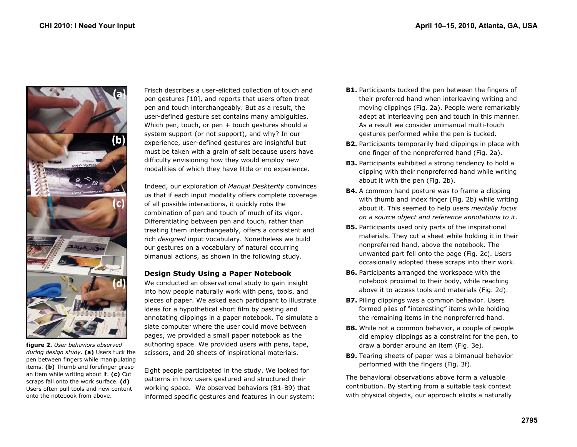

**figure 2.** *User behaviors observed during design study*. **(a)** Users tuck the pen between fingers while manipulating items. **(b)** Thumb and forefinger grasp an item while writing about it. **(c)** Cut scraps fall onto the work surface. **(d)** Users often pull tools and new content onto the notebook from above.

Frisch describes a user-elicited collection of touch and pen gestures [10], and reports that users often treat pen and touch interchangeably. But as a result, the user-defined gesture set contains many ambiguities. Which pen, touch, or pen + touch gestures should a system support (or not support), and why? In our experience, user-defined gestures are insightful but must be taken with a grain of salt because users have difficulty envisioning how they would employ new modalities of which they have little or no experience.

Indeed, our exploration of *Manual Deskterity* convinces us that if each input modality offers complete coverage of all possible interactions, it quickly robs the combination of pen and touch of much of its vigor. Differentiating between pen and touch, rather than treating them interchangeably, offers a consistent and rich *designed* input vocabulary. Nonetheless we build our gestures on a vocabulary of natural occurring bimanual actions, as shown in the following study.

## **Design Study Using a Paper Notebook**

We conducted an observational study to gain insight into how people naturally work with pens, tools, and pieces of paper. We asked each participant to illustrate ideas for a hypothetical short film by pasting and annotating clippings in a paper notebook. To simulate a slate computer where the user could move between pages, we provided a small paper notebook as the authoring space. We provided users with pens, tape, scissors, and 20 sheets of inspirational materials.

Eight people participated in the study. We looked for patterns in how users gestured and structured their working space. We observed behaviors (B1-B9) that informed specific gestures and features in our system:

- **B1.** Participants tucked the pen between the fingers of their preferred hand when interleaving writing and moving clippings (Fig. 2a). People were remarkably adept at interleaving pen and touch in this manner. As a result we consider unimanual multi-touch gestures performed while the pen is tucked.
- **B2.** Participants temporarily held clippings in place with one finger of the nonpreferred hand (Fig. 2a).
- **B3.** Participants exhibited a strong tendency to hold a clipping with their nonpreferred hand while writing about it with the pen (Fig. 2b).
- **B4.** A common hand posture was to frame a clipping with thumb and index finger (Fig. 2b) while writing about it. This seemed to help users *mentally focus on a source object and reference annotations to it*.
- **B5.** Participants used only parts of the inspirational materials. They cut a sheet while holding it in their nonpreferred hand, above the notebook. The unwanted part fell onto the page (Fig. 2c). Users occasionally adopted these scraps into their work.
- **B6.** Participants arranged the workspace with the notebook proximal to their body, while reaching above it to access tools and materials (Fig. 2d).
- **B7.** Piling clippings was a common behavior. Users formed piles of "interesting" items while holding the remaining items in the nonpreferred hand.
- **B8.** While not a common behavior, a couple of people did employ clippings as a constraint for the pen, to draw a border around an item (Fig. 3e).
- **B9.** Tearing sheets of paper was a bimanual behavior performed with the fingers (Fig. 3f).

The behavioral observations above form a valuable contribution. By starting from a suitable task context with physical objects, our approach elicits a naturally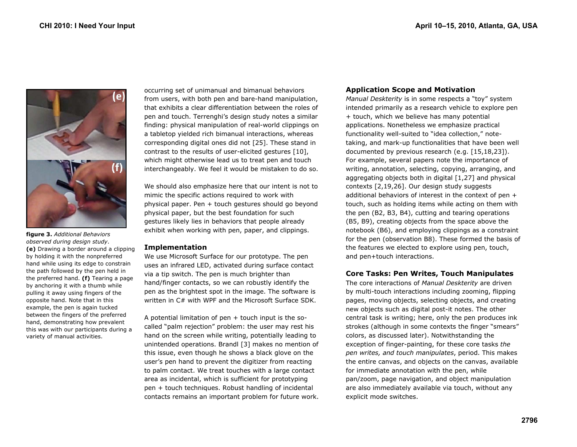

**figure 3.** *Additional Behaviors observed during design study*. **(e)** Drawing a border around a clipping by holding it with the nonpreferred hand while using its edge to constrain the path followed by the pen held in the preferred hand. **(f)** Tearing a page by anchoring it with a thumb while pulling it away using fingers of the opposite hand. Note that in this example, the pen is again tucked between the fingers of the preferred hand, demonstrating how prevalent this was with our participants during a variety of manual activities.

occurring set of unimanual and bimanual behaviors from users, with both pen and bare-hand manipulation, that exhibits a clear differentiation between the roles of pen and touch. Terrenghi's design study notes a similar finding: physical manipulation of real-world clippings on a tabletop yielded rich bimanual interactions, whereas corresponding digital ones did not [25]. These stand in contrast to the results of user-elicited gestures [10], which might otherwise lead us to treat pen and touch interchangeably. We feel it would be mistaken to do so.

We should also emphasize here that our intent is not to mimic the specific actions required to work with physical paper. Pen + touch gestures should go beyond physical paper, but the best foundation for such gestures likely lies in behaviors that people already exhibit when working with pen, paper, and clippings.

#### **Implementation**

We use Microsoft Surface for our prototype. The pen uses an infrared LED, activated during surface contact via a tip switch. The pen is much brighter than hand/finger contacts, so we can robustly identify the pen as the brightest spot in the image. The software is written in C# with WPF and the Microsoft Surface SDK.

A potential limitation of pen + touch input is the socalled "palm rejection" problem: the user may rest his hand on the screen while writing, potentially leading to unintended operations. Brandl [3] makes no mention of this issue, even though he shows a black glove on the user's pen hand to prevent the digitizer from reacting to palm contact. We treat touches with a large contact area as incidental, which is sufficient for prototyping pen + touch techniques. Robust handling of incidental contacts remains an important problem for future work.

## **Application Scope and Motivation**

*Manual Deskterity* is in some respects a "toy" system intended primarily as a research vehicle to explore pen + touch, which we believe has many potential applications. Nonetheless we emphasize practical functionality well-suited to "idea collection," notetaking, and mark-up functionalities that have been well documented by previous research (e.g. [15,18,23]). For example, several papers note the importance of writing, annotation, selecting, copying, arranging, and aggregating objects both in digital [1,27] and physical contexts [2,19,26]. Our design study suggests additional behaviors of interest in the context of pen + touch, such as holding items while acting on them with the pen (B2, B3, B4), cutting and tearing operations (B5, B9), creating objects from the space above the notebook (B6), and employing clippings as a constraint for the pen (observation B8). These formed the basis of the features we elected to explore using pen, touch, and pen+touch interactions.

## **Core Tasks: Pen Writes, Touch Manipulates**

The core interactions of *Manual Deskterity* are driven by multi-touch interactions including zooming, flipping pages, moving objects, selecting objects, and creating new objects such as digital post-it notes. The other central task is writing; here, only the pen produces ink strokes (although in some contexts the finger "smears" colors, as discussed later). Notwithstanding the exception of finger-painting, for these core tasks *the pen writes, and touch manipulates*, period. This makes the entire canvas, and objects on the canvas, available for immediate annotation with the pen, while pan/zoom, page navigation, and object manipulation are also immediately available via touch, without any explicit mode switches.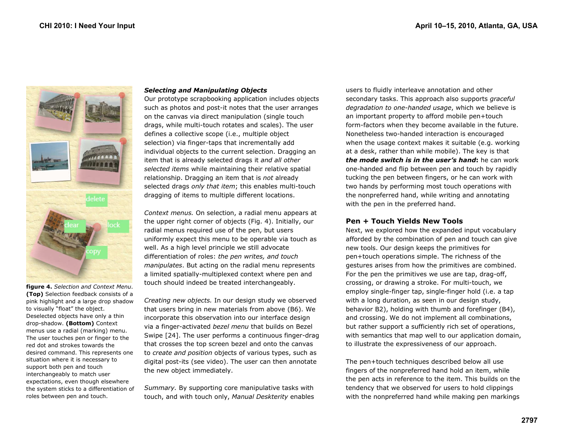

**figure 4.** *Selection and Context Menu*. **(Top)** Selection feedback consists of a pink highlight and a large drop shadow to visually "float" the object. Deselected objects have only a thin drop-shadow. **(Bottom)** Context menus use a radial (marking) menu. The user touches pen or finger to the red dot and strokes towards the desired command. This represents one situation where it is necessary to support both pen and touch interchangeably to match user expectations, even though elsewhere the system sticks to a differentiation of roles between pen and touch.

### *Selecting and Manipulating Objects*

Our prototype scrapbooking application includes objects such as photos and post-it notes that the user arranges on the canvas via direct manipulation (single touch drags, while multi-touch rotates and scales). The user defines a collective scope (i.e., multiple object selection) via finger-taps that incrementally add individual objects to the current selection. Dragging an item that is already selected drags it *and all other selected items* while maintaining their relative spatial relationship. Dragging an item that is *not* already selected drags *only that item*; this enables multi-touch dragging of items to multiple different locations.

*Context menus.* On selection, a radial menu appears at the upper right corner of objects (Fig. 4). Initially, our radial menus required use of the pen, but users uniformly expect this menu to be operable via touch as well. As a high level principle we still advocate differentiation of roles: *the pen writes, and touch manipulates*. But acting on the radial menu represents a limited spatially-multiplexed context where pen and touch should indeed be treated interchangeably.

*Creating new objects.* In our design study we observed that users bring in new materials from above (B6). We incorporate this observation into our interface design via a finger-activated *bezel menu* that builds on Bezel Swipe [24]. The user performs a continuous finger-drag that crosses the top screen bezel and onto the canvas to *create and position* objects of various types, such as digital post-its (see video). The user can then annotate the new object immediately.

*Summary.* By supporting core manipulative tasks with touch, and with touch only, *Manual Deskterity* enables users to fluidly interleave annotation and other secondary tasks. This approach also supports *graceful degradation to one-handed usage*, which we believe is an important property to afford mobile pen+touch form-factors when they become available in the future. Nonetheless two-handed interaction is encouraged when the usage context makes it suitable (e.g. working at a desk, rather than while mobile). The key is that *the mode switch is in the user's hand***:** he can work one-handed and flip between pen and touch by rapidly tucking the pen between fingers, or he can work with two hands by performing most touch operations with the nonpreferred hand, while writing and annotating with the pen in the preferred hand.

## **Pen + Touch Yields New Tools**

Next, we explored how the expanded input vocabulary afforded by the combination of pen and touch can give new tools. Our design keeps the primitives for pen+touch operations simple. The richness of the gestures arises from how the primitives are combined. For the pen the primitives we use are tap, drag-off, crossing, or drawing a stroke. For multi-touch, we employ single-finger tap, single-finger hold (i.e. a tap with a long duration, as seen in our design study, behavior B2), holding with thumb and forefinger (B4), and crossing. We do not implement all combinations, but rather support a sufficiently rich set of operations, with semantics that map well to our application domain, to illustrate the expressiveness of our approach.

The pen+touch techniques described below all use fingers of the nonpreferred hand hold an item, while the pen acts in reference to the item. This builds on the tendency that we observed for users to hold clippings with the nonpreferred hand while making pen markings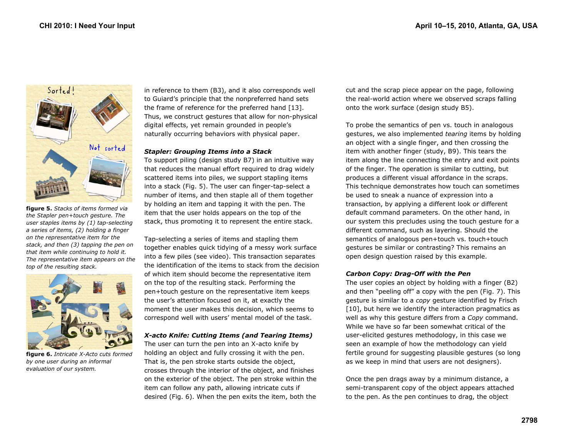

**figure 5.** *Stacks of items formed via the Stapler pen+touch gesture. The user staples items by (1) tap-selecting a series of items, (2) holding a finger on the representative item for the stack, and then (3) tapping the pen on that item while continuing to hold it. The representative item appears on the top of the resulting stack.* 



**figure 6.** *Intricate X-Acto cuts formed by one user during an informal evaluation of our system.*

in reference to them (B3), and it also corresponds well to Guiard's principle that the nonpreferred hand sets the frame of reference for the preferred hand [13]. Thus, we construct gestures that allow for non-physical digital effects, yet remain grounded in people's naturally occurring behaviors with physical paper.

#### *Stapler: Grouping Items into a Stack*

To support piling (design study B7) in an intuitive way that reduces the manual effort required to drag widely scattered items into piles, we support stapling items into a stack (Fig. 5). The user can finger-tap-select a number of items, and then staple all of them together by holding an item and tapping it with the pen. The item that the user holds appears on the top of the stack, thus promoting it to represent the entire stack.

Tap-selecting a series of items and stapling them together enables quick tidying of a messy work surface into a few piles (see video). This transaction separates the identification of the items to stack from the decision of which item should become the representative item on the top of the resulting stack. Performing the pen+touch gesture on the representative item keeps the user's attention focused on it, at exactly the moment the user makes this decision, which seems to correspond well with users' mental model of the task.

#### *X-acto Knife: Cutting Items (and Tearing Items)*

The user can turn the pen into an X-acto knife by holding an object and fully crossing it with the pen. That is, the pen stroke starts outside the object, crosses through the interior of the object, and finishes on the exterior of the object. The pen stroke within the item can follow any path, allowing intricate cuts if desired (Fig. 6). When the pen exits the item, both the cut and the scrap piece appear on the page, following the real-world action where we observed scraps falling onto the work surface (design study B5).

To probe the semantics of pen vs. touch in analogous gestures, we also implemented *tearing* items by holding an object with a single finger, and then crossing the item with another finger (study, B9). This tears the item along the line connecting the entry and exit points of the finger. The operation is similar to cutting, but produces a different visual affordance in the scraps. This technique demonstrates how touch can sometimes be used to sneak a nuance of expression into a transaction, by applying a different look or different default command parameters. On the other hand, in our system this precludes using the touch gesture for a different command, such as layering. Should the semantics of analogous pen+touch vs. touch+touch gestures be similar or contrasting? This remains an open design question raised by this example.

## *Carbon Copy: Drag-Off with the Pen*

The user copies an object by holding with a finger (B2) and then "peeling off" a copy with the pen (Fig. 7). This gesture is similar to a *copy* gesture identified by Frisch [10], but here we identify the interaction pragmatics as well as why this gesture differs from a *Copy* command. While we have so far been somewhat critical of the user-elicited gestures methodology, in this case we seen an example of how the methodology can yield fertile ground for suggesting plausible gestures (so long as we keep in mind that users are not designers).

Once the pen drags away by a minimum distance, a semi-transparent copy of the object appears attached to the pen. As the pen continues to drag, the object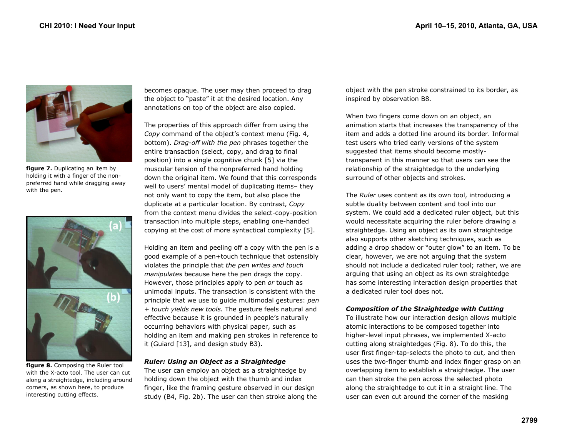

**figure 7.** Duplicating an item by holding it with a finger of the nonpreferred hand while dragging away with the pen.



**figure 8.** Composing the Ruler tool with the X-acto tool. The user can cut along a straightedge, including around corners, as shown here, to produce interesting cutting effects.

becomes opaque. The user may then proceed to drag the object to "paste" it at the desired location. Any annotations on top of the object are also copied.

The properties of this approach differ from using the *Copy* command of the object's context menu (Fig. 4, bottom). *Drag-off with the pen* phrases together the entire transaction (select, copy, and drag to final position) into a single cognitive chunk [5] via the muscular tension of the nonpreferred hand holding down the original item. We found that this corresponds well to users' mental model of duplicating items– they not only want to copy the item, but also place the duplicate at a particular location. By contrast, *Copy* from the context menu divides the select-copy-position transaction into multiple steps, enabling one-handed copying at the cost of more syntactical complexity [5].

Holding an item and peeling off a copy with the pen is a good example of a pen+touch technique that ostensibly violates the principle that *the pen writes and touch manipulates* because here the pen drags the copy. However, those principles apply to pen *or* touch as unimodal inputs. The transaction is consistent with the principle that we use to guide multimodal gestures: *pen + touch yields new tools.* The gesture feels natural and effective because it is grounded in people's naturally occurring behaviors with physical paper, such as holding an item and making pen strokes in reference to it (Guiard [13], and design study B3).

## *Ruler: Using an Object as a Straightedge*

The user can employ an object as a straightedge by holding down the object with the thumb and index finger, like the framing gesture observed in our design study (B4, Fig. 2b). The user can then stroke along the object with the pen stroke constrained to its border, as inspired by observation B8.

When two fingers come down on an object, an animation starts that increases the transparency of the item and adds a dotted line around its border. Informal test users who tried early versions of the system suggested that items should become mostlytransparent in this manner so that users can see the relationship of the straightedge to the underlying surround of other objects and strokes.

The *Ruler* uses content as its own tool, introducing a subtle duality between content and tool into our system. We could add a dedicated ruler object, but this would necessitate acquiring the ruler before drawing a straightedge. Using an object as its own straightedge also supports other sketching techniques, such as adding a drop shadow or "outer glow" to an item. To be clear, however, we are not arguing that the system should not include a dedicated ruler tool; rather, we are arguing that using an object as its own straightedge has some interesting interaction design properties that a dedicated ruler tool does not.

## *Composition of the Straightedge with Cutting*

To illustrate how our interaction design allows multiple atomic interactions to be composed together into higher-level input phrases, we implemented X-acto cutting along straightedges (Fig. 8). To do this, the user first finger-tap-selects the photo to cut, and then uses the two-finger thumb and index finger grasp on an overlapping item to establish a straightedge. The user can then stroke the pen across the selected photo along the straightedge to cut it in a straight line. The user can even cut around the corner of the masking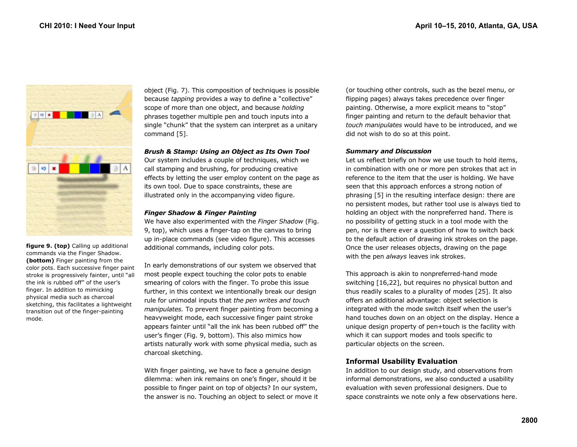

**figure 9. (top)** Calling up additional commands via the Finger Shadow. **(bottom)** Finger painting from the color pots. Each successive finger paint stroke is progressively fainter, until "all the ink is rubbed off" of the user's finger. In addition to mimicking physical media such as charcoal sketching, this facilitates a lightweight transition out of the finger-painting mode.

object (Fig. 7). This composition of techniques is possible because *tapping* provides a way to define a "collective" scope of more than one object, and because *holding* phrases together multiple pen and touch inputs into a single "chunk" that the system can interpret as a unitary command [5].

#### *Brush & Stamp: Using an Object as Its Own Tool*

Our system includes a couple of techniques, which we call stamping and brushing, for producing creative effects by letting the user employ content on the page as its own tool. Due to space constraints, these are illustrated only in the accompanying video figure.

#### *Finger Shadow & Finger Painting*

We have also experimented with the *Finger Shadow* (Fig. 9, top), which uses a finger-tap on the canvas to bring up in-place commands (see video figure). This accesses additional commands, including color pots.

In early demonstrations of our system we observed that most people expect touching the color pots to enable smearing of colors with the finger. To probe this issue further, in this context we intentionally break our design rule for unimodal inputs that *the pen writes and touch manipulates.* To prevent finger painting from becoming a heavyweight mode, each successive finger paint stroke appears fainter until "all the ink has been rubbed off" the user's finger (Fig. 9, bottom). This also mimics how artists naturally work with some physical media, such as charcoal sketching.

With finger painting, we have to face a genuine design dilemma: when ink remains on one's finger, should it be possible to finger paint on top of objects? In our system, the answer is no. Touching an object to select or move it (or touching other controls, such as the bezel menu, or flipping pages) always takes precedence over finger painting. Otherwise, a more explicit means to "stop" finger painting and return to the default behavior that *touch manipulates* would have to be introduced, and we did not wish to do so at this point.

## *Summary and Discussion*

Let us reflect briefly on how we use touch to hold items, in combination with one or more pen strokes that act in reference to the item that the user is holding. We have seen that this approach enforces a strong notion of phrasing [5] in the resulting interface design: there are no persistent modes, but rather tool use is always tied to holding an object with the nonpreferred hand. There is no possibility of getting stuck in a tool mode with the pen, nor is there ever a question of how to switch back to the default action of drawing ink strokes on the page. Once the user releases objects, drawing on the page with the pen *always* leaves ink strokes.

This approach is akin to nonpreferred-hand mode switching [16,22], but requires no physical button and thus readily scales to a plurality of modes [25]. It also offers an additional advantage: object selection is integrated with the mode switch itself when the user's hand touches down on an object on the display. Hence a unique design property of pen+touch is the facility with which it can support modes and tools specific to particular objects on the screen.

## **Informal Usability Evaluation**

In addition to our design study, and observations from informal demonstrations, we also conducted a usability evaluation with seven professional designers. Due to space constraints we note only a few observations here.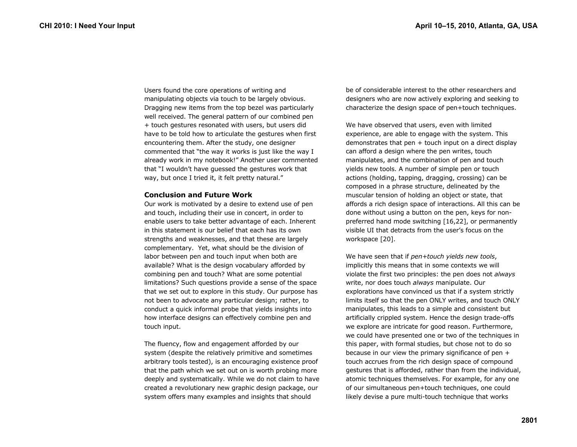Users found the core operations of writing and manipulating objects via touch to be largely obvious. Dragging new items from the top bezel was particularly well received. The general pattern of our combined pen + touch gestures resonated with users, but users did have to be told how to articulate the gestures when first encountering them. After the study, one designer commented that "the way it works is just like the way I already work in my notebook!" Another user commented that "I wouldn't have guessed the gestures work that way, but once I tried it, it felt pretty natural."

#### **Conclusion and Future Work**

Our work is motivated by a desire to extend use of pen and touch, including their use in concert, in order to enable users to take better advantage of each. Inherent in this statement is our belief that each has its own strengths and weaknesses, and that these are largely complementary. Yet, what should be the division of labor between pen and touch input when both are available? What is the design vocabulary afforded by combining pen and touch? What are some potential limitations? Such questions provide a sense of the space that we set out to explore in this study. Our purpose has not been to advocate any particular design; rather, to conduct a quick informal probe that yields insights into how interface designs can effectively combine pen and touch input.

The fluency, flow and engagement afforded by our system (despite the relatively primitive and sometimes arbitrary tools tested), is an encouraging existence proof that the path which we set out on is worth probing more deeply and systematically. While we do not claim to have created a revolutionary new graphic design package, our system offers many examples and insights that should

be of considerable interest to the other researchers and designers who are now actively exploring and seeking to characterize the design space of pen+touch techniques.

We have observed that users, even with limited experience, are able to engage with the system. This demonstrates that pen + touch input on a direct display can afford a design where the pen writes, touch manipulates, and the combination of pen and touch yields new tools. A number of simple pen or touch actions (holding, tapping, dragging, crossing) can be composed in a phrase structure, delineated by the muscular tension of holding an object or state, that affords a rich design space of interactions. All this can be done without using a button on the pen, keys for nonpreferred hand mode switching [16,22], or permanently visible UI that detracts from the user's focus on the workspace [20].

We have seen that if *pen+touch yields new tools*, implicitly this means that in some contexts we will violate the first two principles: the pen does not *always*  write, nor does touch *always* manipulate. Our explorations have convinced us that if a system strictly limits itself so that the pen ONLY writes, and touch ONLY manipulates, this leads to a simple and consistent but artificially crippled system. Hence the design trade-offs we explore are intricate for good reason. Furthermore, we could have presented one or two of the techniques in this paper, with formal studies, but chose not to do so because in our view the primary significance of pen + touch accrues from the rich design space of compound gestures that is afforded, rather than from the individual, atomic techniques themselves. For example, for any one of our simultaneous pen+touch techniques, one could likely devise a pure multi-touch technique that works